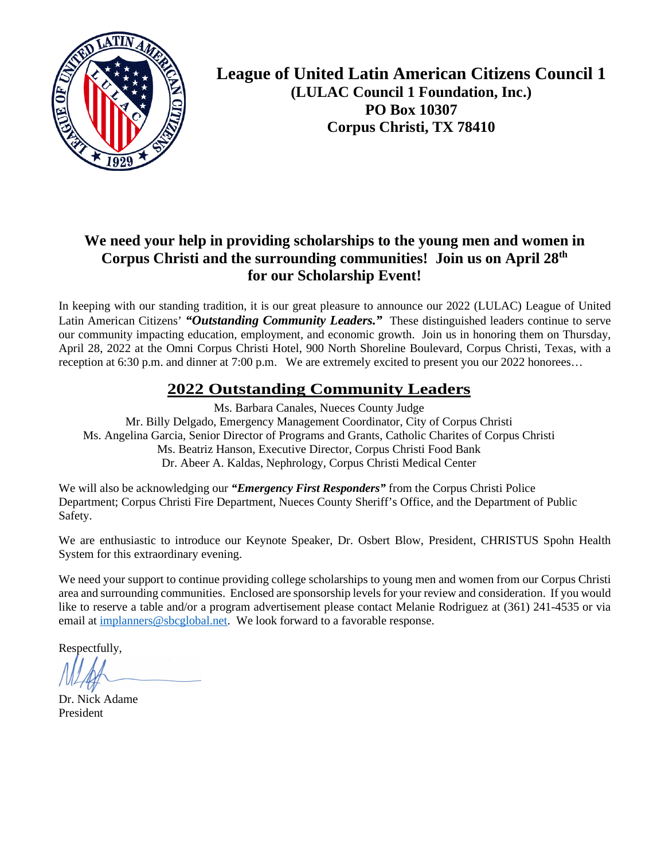

## **We need your help in providing scholarships to the young men and women in Corpus Christi and the surrounding communities! Join us on April 28th for our Scholarship Event!**

In keeping with our standing tradition, it is our great pleasure to announce our 2022 (LULAC) League of United Latin American Citizens' *"Outstanding Community Leaders."* These distinguished leaders continue to serve our community impacting education, employment, and economic growth. Join us in honoring them on Thursday, April 28, 2022 at the Omni Corpus Christi Hotel, 900 North Shoreline Boulevard, Corpus Christi, Texas, with a reception at 6:30 p.m. and dinner at 7:00 p.m. We are extremely excited to present you our 2022 honorees…

## **2022 Outstanding Community Leaders**

Ms. Barbara Canales, Nueces County Judge Mr. Billy Delgado, Emergency Management Coordinator, City of Corpus Christi Ms. Angelina Garcia, Senior Director of Programs and Grants, Catholic Charites of Corpus Christi Ms. Beatriz Hanson, Executive Director, Corpus Christi Food Bank Dr. Abeer A. Kaldas, Nephrology, Corpus Christi Medical Center

We will also be acknowledging our *"Emergency First Responders"* from the Corpus Christi Police Department; Corpus Christi Fire Department, Nueces County Sheriff's Office, and the Department of Public Safety.

We are enthusiastic to introduce our Keynote Speaker, Dr. Osbert Blow, President, CHRISTUS Spohn Health System for this extraordinary evening.

We need your support to continue providing college scholarships to young men and women from our Corpus Christi area and surrounding communities. Enclosed are sponsorship levels for your review and consideration. If you would like to reserve a table and/or a program advertisement please contact Melanie Rodriguez at (361) 241-4535 or via email at implanners@sbcglobal.net. We look forward to a favorable response.

Respectfully,

Dr. Nick Adame President